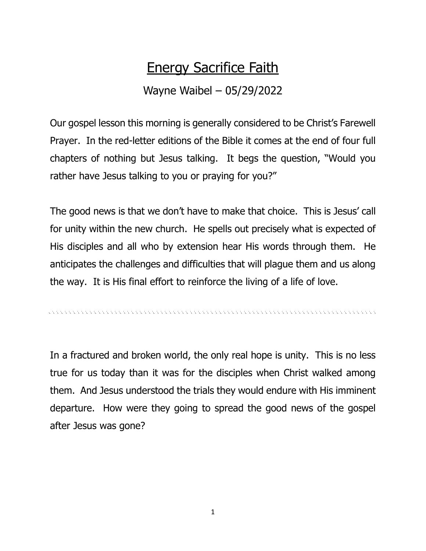## Energy Sacrifice Faith

## Wayne Waibel – 05/29/2022

Our gospel lesson this morning is generally considered to be Christ's Farewell Prayer. In the red-letter editions of the Bible it comes at the end of four full chapters of nothing but Jesus talking. It begs the question, "Would you rather have Jesus talking to you or praying for you?"

The good news is that we don't have to make that choice. This is Jesus' call for unity within the new church. He spells out precisely what is expected of His disciples and all who by extension hear His words through them. He anticipates the challenges and difficulties that will plague them and us along the way. It is His final effort to reinforce the living of a life of love.

In a fractured and broken world, the only real hope is unity. This is no less true for us today than it was for the disciples when Christ walked among them. And Jesus understood the trials they would endure with His imminent departure. How were they going to spread the good news of the gospel after Jesus was gone?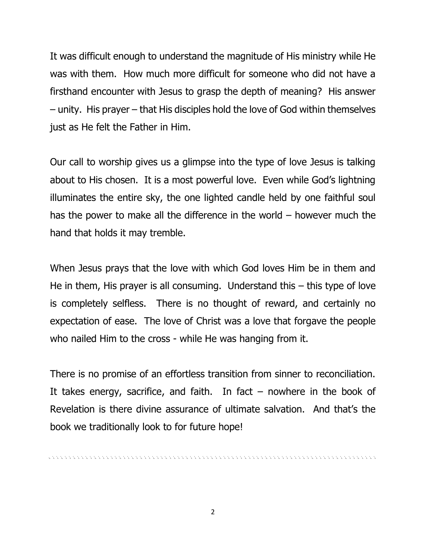It was difficult enough to understand the magnitude of His ministry while He was with them. How much more difficult for someone who did not have a firsthand encounter with Jesus to grasp the depth of meaning? His answer – unity. His prayer – that His disciples hold the love of God within themselves just as He felt the Father in Him.

Our call to worship gives us a glimpse into the type of love Jesus is talking about to His chosen. It is a most powerful love. Even while God's lightning illuminates the entire sky, the one lighted candle held by one faithful soul has the power to make all the difference in the world – however much the hand that holds it may tremble.

When Jesus prays that the love with which God loves Him be in them and He in them, His prayer is all consuming. Understand this – this type of love is completely selfless. There is no thought of reward, and certainly no expectation of ease. The love of Christ was a love that forgave the people who nailed Him to the cross - while He was hanging from it.

There is no promise of an effortless transition from sinner to reconciliation. It takes energy, sacrifice, and faith. In fact  $-$  nowhere in the book of Revelation is there divine assurance of ultimate salvation. And that's the book we traditionally look to for future hope!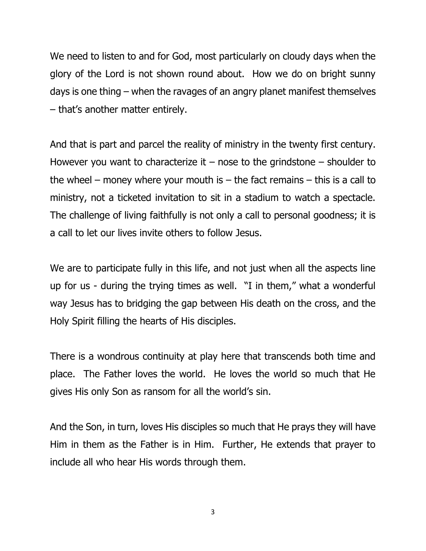We need to listen to and for God, most particularly on cloudy days when the glory of the Lord is not shown round about. How we do on bright sunny days is one thing – when the ravages of an angry planet manifest themselves – that's another matter entirely.

And that is part and parcel the reality of ministry in the twenty first century. However you want to characterize it – nose to the grindstone – shoulder to the wheel – money where your mouth is – the fact remains – this is a call to ministry, not a ticketed invitation to sit in a stadium to watch a spectacle. The challenge of living faithfully is not only a call to personal goodness; it is a call to let our lives invite others to follow Jesus.

We are to participate fully in this life, and not just when all the aspects line up for us - during the trying times as well. "I in them," what a wonderful way Jesus has to bridging the gap between His death on the cross, and the Holy Spirit filling the hearts of His disciples.

There is a wondrous continuity at play here that transcends both time and place. The Father loves the world. He loves the world so much that He gives His only Son as ransom for all the world's sin.

And the Son, in turn, loves His disciples so much that He prays they will have Him in them as the Father is in Him. Further, He extends that prayer to include all who hear His words through them.

3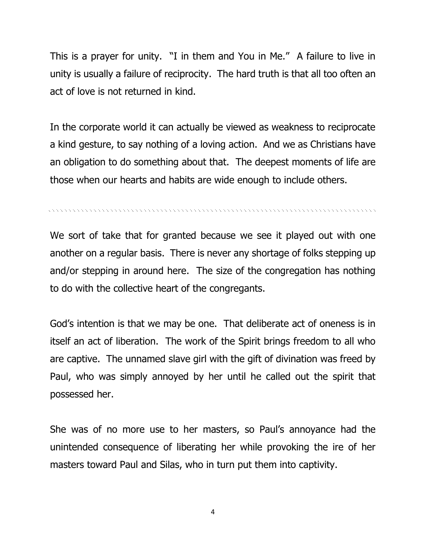This is a prayer for unity. "I in them and You in Me." A failure to live in unity is usually a failure of reciprocity. The hard truth is that all too often an act of love is not returned in kind.

In the corporate world it can actually be viewed as weakness to reciprocate a kind gesture, to say nothing of a loving action. And we as Christians have an obligation to do something about that. The deepest moments of life are those when our hearts and habits are wide enough to include others.

n na kanang ng kanang ng kanang ng kanang ng kanang ng kanang ng kanang ng kanang ng kanang ng kanang ng kanan

We sort of take that for granted because we see it played out with one another on a regular basis. There is never any shortage of folks stepping up and/or stepping in around here. The size of the congregation has nothing to do with the collective heart of the congregants.

God's intention is that we may be one. That deliberate act of oneness is in itself an act of liberation. The work of the Spirit brings freedom to all who are captive. The unnamed slave girl with the gift of divination was freed by Paul, who was simply annoyed by her until he called out the spirit that possessed her.

She was of no more use to her masters, so Paul's annoyance had the unintended consequence of liberating her while provoking the ire of her masters toward Paul and Silas, who in turn put them into captivity.

4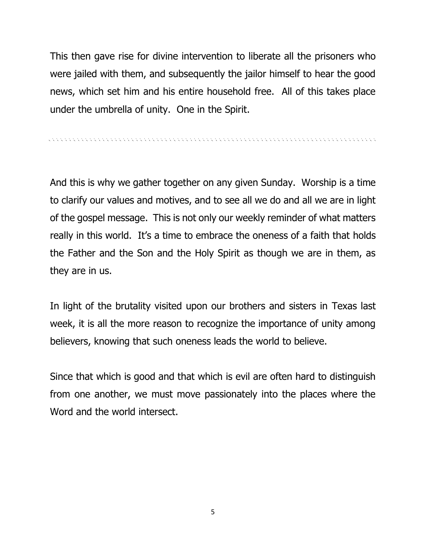This then gave rise for divine intervention to liberate all the prisoners who were jailed with them, and subsequently the jailor himself to hear the good news, which set him and his entire household free. All of this takes place under the umbrella of unity. One in the Spirit.

And this is why we gather together on any given Sunday. Worship is a time to clarify our values and motives, and to see all we do and all we are in light of the gospel message. This is not only our weekly reminder of what matters really in this world. It's a time to embrace the oneness of a faith that holds the Father and the Son and the Holy Spirit as though we are in them, as they are in us.

In light of the brutality visited upon our brothers and sisters in Texas last week, it is all the more reason to recognize the importance of unity among believers, knowing that such oneness leads the world to believe.

Since that which is good and that which is evil are often hard to distinguish from one another, we must move passionately into the places where the Word and the world intersect.